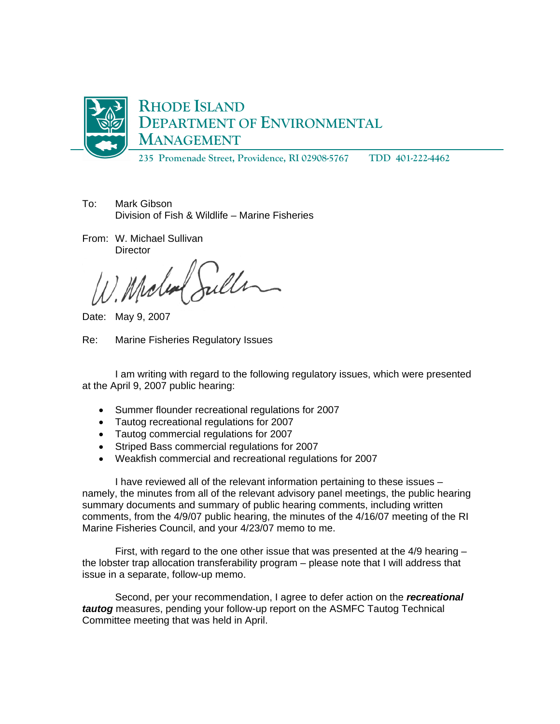

**235 Promenade Street, Providence, RI 02908-5767 TDD 401-222-4462** 

- To: Mark Gibson Division of Fish & Wildlife – Marine Fisheries
- From: W. Michael Sullivan **Director**

Date: May 9, 2007

Re: Marine Fisheries Regulatory Issues

I am writing with regard to the following regulatory issues, which were presented at the April 9, 2007 public hearing:

- Summer flounder recreational regulations for 2007
- Tautog recreational regulations for 2007
- Tautog commercial regulations for 2007
- Striped Bass commercial regulations for 2007
- Weakfish commercial and recreational regulations for 2007

I have reviewed all of the relevant information pertaining to these issues – namely, the minutes from all of the relevant advisory panel meetings, the public hearing summary documents and summary of public hearing comments, including written comments, from the 4/9/07 public hearing, the minutes of the 4/16/07 meeting of the RI Marine Fisheries Council, and your 4/23/07 memo to me.

First, with regard to the one other issue that was presented at the 4/9 hearing – the lobster trap allocation transferability program – please note that I will address that issue in a separate, follow-up memo.

Second, per your recommendation, I agree to defer action on the *recreational tautog* measures, pending your follow-up report on the ASMFC Tautog Technical Committee meeting that was held in April.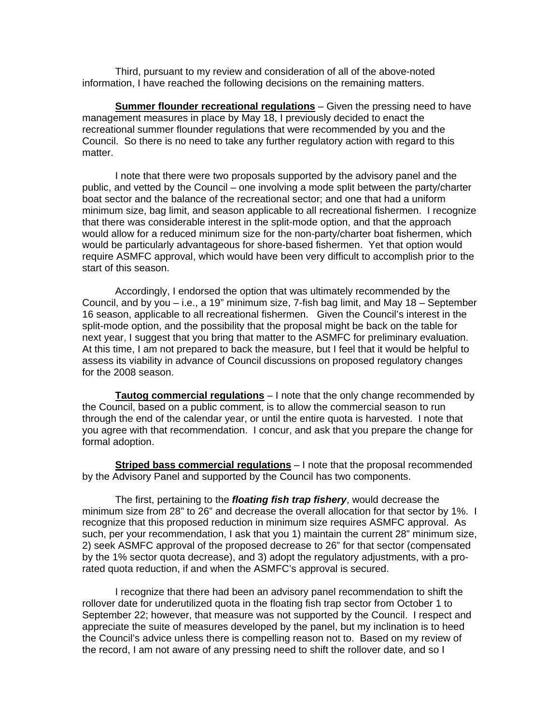Third, pursuant to my review and consideration of all of the above-noted information, I have reached the following decisions on the remaining matters.

**Summer flounder recreational regulations** – Given the pressing need to have management measures in place by May 18, I previously decided to enact the recreational summer flounder regulations that were recommended by you and the Council. So there is no need to take any further regulatory action with regard to this matter.

I note that there were two proposals supported by the advisory panel and the public, and vetted by the Council – one involving a mode split between the party/charter boat sector and the balance of the recreational sector; and one that had a uniform minimum size, bag limit, and season applicable to all recreational fishermen. I recognize that there was considerable interest in the split-mode option, and that the approach would allow for a reduced minimum size for the non-party/charter boat fishermen, which would be particularly advantageous for shore-based fishermen. Yet that option would require ASMFC approval, which would have been very difficult to accomplish prior to the start of this season.

Accordingly, I endorsed the option that was ultimately recommended by the Council, and by you – i.e., a 19" minimum size, 7-fish bag limit, and May 18 – September 16 season, applicable to all recreational fishermen. Given the Council's interest in the split-mode option, and the possibility that the proposal might be back on the table for next year, I suggest that you bring that matter to the ASMFC for preliminary evaluation. At this time, I am not prepared to back the measure, but I feel that it would be helpful to assess its viability in advance of Council discussions on proposed regulatory changes for the 2008 season.

**Tautog commercial regulations** – I note that the only change recommended by the Council, based on a public comment, is to allow the commercial season to run through the end of the calendar year, or until the entire quota is harvested. I note that you agree with that recommendation. I concur, and ask that you prepare the change for formal adoption.

**Striped bass commercial regulations** – I note that the proposal recommended by the Advisory Panel and supported by the Council has two components.

The first, pertaining to the *floating fish trap fishery*, would decrease the minimum size from 28" to 26" and decrease the overall allocation for that sector by 1%. I recognize that this proposed reduction in minimum size requires ASMFC approval. As such, per your recommendation, I ask that you 1) maintain the current 28" minimum size, 2) seek ASMFC approval of the proposed decrease to 26" for that sector (compensated by the 1% sector quota decrease), and 3) adopt the regulatory adjustments, with a prorated quota reduction, if and when the ASMFC's approval is secured.

I recognize that there had been an advisory panel recommendation to shift the rollover date for underutilized quota in the floating fish trap sector from October 1 to September 22; however, that measure was not supported by the Council. I respect and appreciate the suite of measures developed by the panel, but my inclination is to heed the Council's advice unless there is compelling reason not to. Based on my review of the record, I am not aware of any pressing need to shift the rollover date, and so I